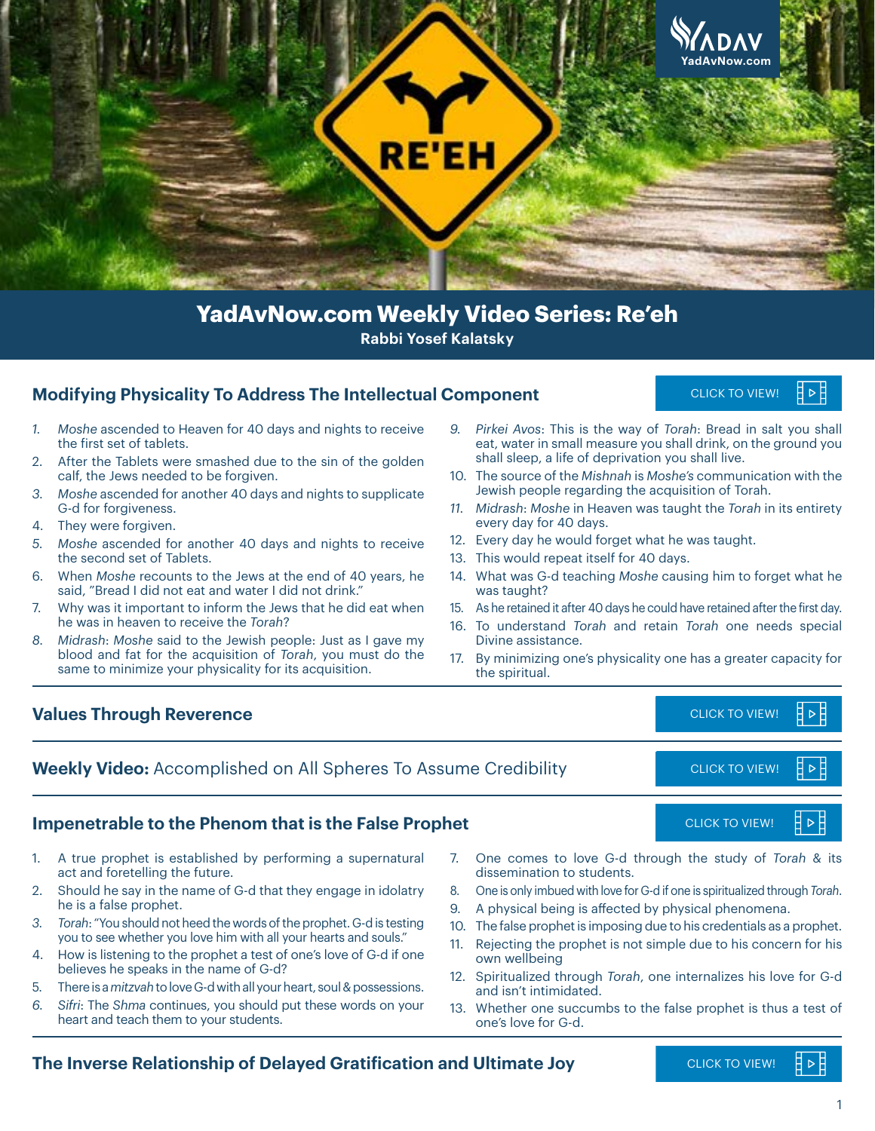

# **Rabbi Yosef Kalatsky YadAvNow.com Weekly Video Series: Re'eh**

#### **Modifying Physicality To Address The Intellectual Component**

**CLICK TO VIEW!** 

- *1. Moshe* ascended to Heaven for 40 days and nights to receive the first set of tablets.
- 2. After the Tablets were smashed due to the sin of the golden calf, the Jews needed to be forgiven.
- *3. Moshe* ascended for another 40 days and nights to supplicate G-d for forgiveness.
- 4. They were forgiven.
- *5. Moshe* ascended for another 40 days and nights to receive the second set of Tablets.
- 6. When *Moshe* recounts to the Jews at the end of 40 years, he said, "Bread I did not eat and water I did not drink."
- 7. Why was it important to inform the Jews that he did eat when he was in heaven to receive the *Torah*?
- *8. Midrash*: *Moshe* said to the Jewish people: Just as I gave my blood and fat for the acquisition of *Torah*, you must do the same to minimize your physicality for its acquisition.
- *9. Pirkei Avos*: This is the way of *Torah*: Bread in salt you shall eat, water in small measure you shall drink, on the ground you shall sleep, a life of deprivation you shall live.
- 10. The source of the *Mishnah* is *Moshe's* communication with the Jewish people regarding the acquisition of Torah.
- *11. Midrash*: *Moshe* in Heaven was taught the *Torah* in its entirety every day for 40 days.
- 12. Every day he would forget what he was taught.
- 13. This would repeat itself for 40 days.
- 14. What was G-d teaching *Moshe* causing him to forget what he was taught?
- 15. As he retained it after 40 days he could have retained after the first day.
- 16. To understand *Torah* and retain *Torah* one needs special Divine assistance.
- 17. By minimizing one's physicality one has a greater capacity for the spiritual.

#### **Values Through Reverence** [CLICK TO VIEW!](https://youtu.be/_TzqzcKYM80)

**Weekly Video:** Accomplished on All Spheres To Assume Credibility

#### **Impenetrable to the Phenom that is the False Prophet [CLICK TO VIEW!](https://youtu.be/hj87WsQd_XI)** CLICK TO VIEW!

- 1. A true prophet is established by performing a supernatural act and foretelling the future.
- 2. Should he say in the name of G-d that they engage in idolatry he is a false prophet.
- *3. Torah*: "You should not heed the words of the prophet. G-d is testing you to see whether you love him with all your hearts and souls."
- 4. How is listening to the prophet a test of one's love of G-d if one believes he speaks in the name of G-d?
- 5. There is a *mitzvah* to love G-d with all your heart, soul & possessions.
- *6. Sifri*: The *Shma* continues, you should put these words on your heart and teach them to your students.
- 7. One comes to love G-d through the study of *Torah* & its dissemination to students. [CLICK TO VIEW!](https://youtu.be/N9xBtDtb4Zc)<br>the study of<br>eis spiritualized the sical phenomer<br>his credentials a<br>due to his con<br>ternalizes his lee prophet is the creation
- 8. One is only imbued with love for G-d if one is spiritualized through *Torah*.
- 9. A physical being is affected by physical phenomena.
- 10. The false prophet is imposing due to his credentials as a prophet.
- 11. Rejecting the prophet is not simple due to his concern for his own wellbeing
- 12. Spiritualized through *Torah*, one internalizes his love for G-d and isn't intimidated.
- 13. Whether one succumbs to the false prophet is thus a test of one's love for G-d.

#### **The Inverse Relationship of Delayed Gratification and Ultimate Joy**

 $\triangleright$ 



∃ ⊳

∄ ⊳

CLICK TO VIEW!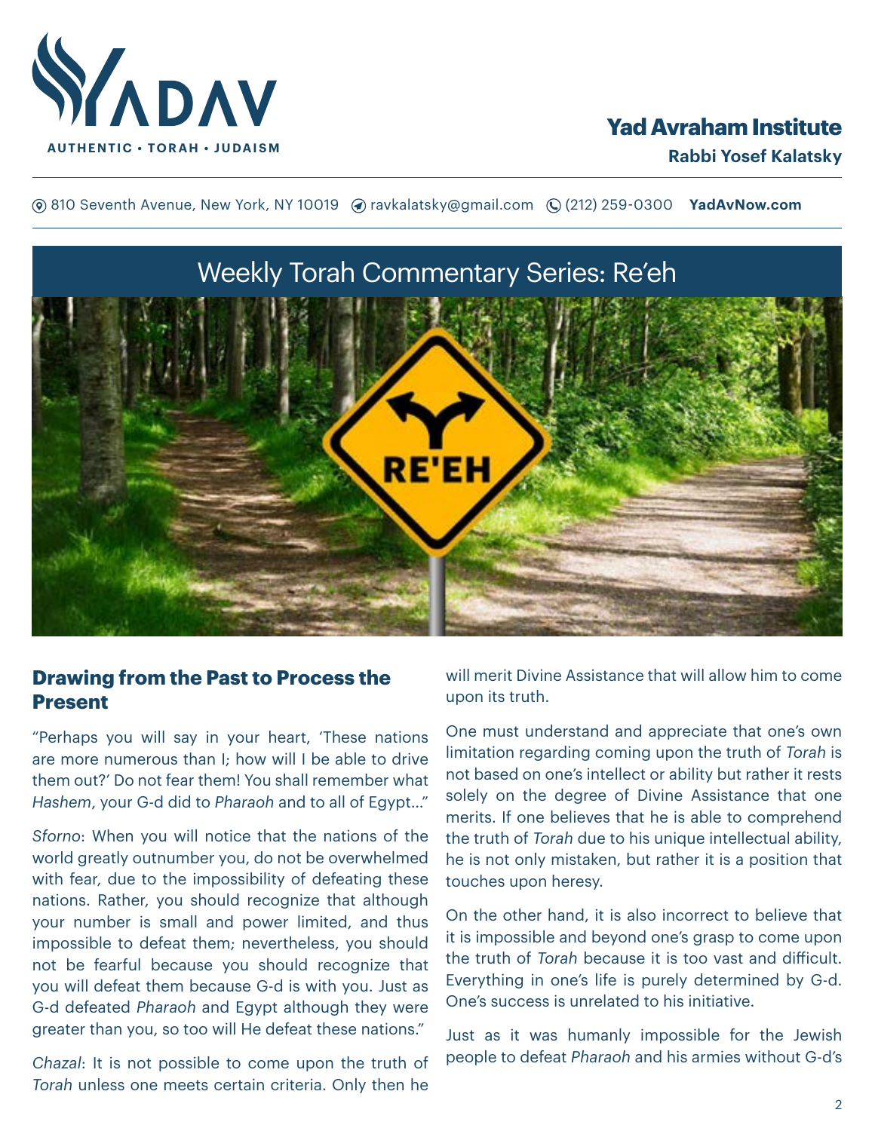

# **Yad Avraham Institute**

**(**® 810 Seventh Avenue, New York, NY 10019 (? ravkalatsky@gmail.com (2(212) 259-0300 **YadAvNow.com** 



# **Drawing from the Past to Process the Present**

"Perhaps you will say in your heart, 'These nations are more numerous than I; how will I be able to drive them out?' Do not fear them! You shall remember what *Hashem*, your G-d did to *Pharaoh* and to all of Egypt…"

*Sforno*: When you will notice that the nations of the world greatly outnumber you, do not be overwhelmed with fear, due to the impossibility of defeating these nations. Rather, you should recognize that although your number is small and power limited, and thus impossible to defeat them; nevertheless, you should not be fearful because you should recognize that you will defeat them because G-d is with you. Just as G-d defeated *Pharaoh* and Egypt although they were greater than you, so too will He defeat these nations."

*Chazal*: It is not possible to come upon the truth of *Torah* unless one meets certain criteria. Only then he

will merit Divine Assistance that will allow him to come upon its truth.

One must understand and appreciate that one's own limitation regarding coming upon the truth of *Torah* is not based on one's intellect or ability but rather it rests solely on the degree of Divine Assistance that one merits. If one believes that he is able to comprehend the truth of *Torah* due to his unique intellectual ability, he is not only mistaken, but rather it is a position that touches upon heresy.

On the other hand, it is also incorrect to believe that it is impossible and beyond one's grasp to come upon the truth of *Torah* because it is too vast and difficult. Everything in one's life is purely determined by G-d. One's success is unrelated to his initiative.

Just as it was humanly impossible for the Jewish people to defeat *Pharaoh* and his armies without G-d's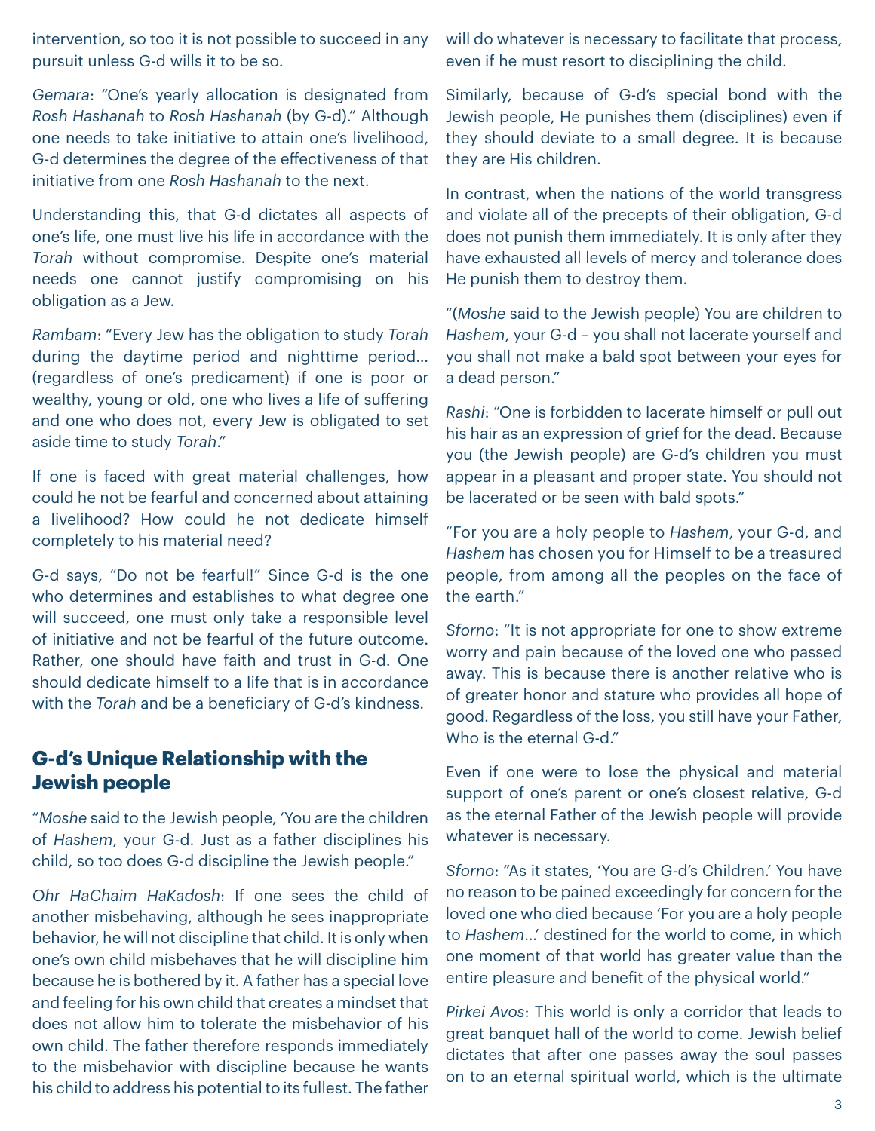intervention, so too it is not possible to succeed in any pursuit unless G-d wills it to be so.

*Gemara*: "One's yearly allocation is designated from *Rosh Hashanah* to *Rosh Hashanah* (by G-d)." Although one needs to take initiative to attain one's livelihood, G-d determines the degree of the effectiveness of that initiative from one *Rosh Hashanah* to the next.

Understanding this, that G-d dictates all aspects of one's life, one must live his life in accordance with the *Torah* without compromise. Despite one's material needs one cannot justify compromising on his obligation as a Jew.

*Rambam*: "Every Jew has the obligation to study *Torah* during the daytime period and nighttime period… (regardless of one's predicament) if one is poor or wealthy, young or old, one who lives a life of suffering and one who does not, every Jew is obligated to set aside time to study *Torah*."

If one is faced with great material challenges, how could he not be fearful and concerned about attaining a livelihood? How could he not dedicate himself completely to his material need?

G-d says, "Do not be fearful!" Since G-d is the one who determines and establishes to what degree one will succeed, one must only take a responsible level of initiative and not be fearful of the future outcome. Rather, one should have faith and trust in G-d. One should dedicate himself to a life that is in accordance with the *Torah* and be a beneficiary of G-d's kindness.

# **G-d's Unique Relationship with the Jewish people**

"*Moshe* said to the Jewish people, 'You are the children of *Hashem*, your G-d. Just as a father disciplines his child, so too does G-d discipline the Jewish people."

*Ohr HaChaim HaKadosh*: If one sees the child of another misbehaving, although he sees inappropriate behavior, he will not discipline that child. It is only when one's own child misbehaves that he will discipline him because he is bothered by it. A father has a special love and feeling for his own child that creates a mindset that does not allow him to tolerate the misbehavior of his own child. The father therefore responds immediately to the misbehavior with discipline because he wants his child to address his potential to its fullest. The father

will do whatever is necessary to facilitate that process, even if he must resort to disciplining the child.

Similarly, because of G-d's special bond with the Jewish people, He punishes them (disciplines) even if they should deviate to a small degree. It is because they are His children.

In contrast, when the nations of the world transgress and violate all of the precepts of their obligation, G-d does not punish them immediately. It is only after they have exhausted all levels of mercy and tolerance does He punish them to destroy them.

"(*Moshe* said to the Jewish people) You are children to *Hashem*, your G-d – you shall not lacerate yourself and you shall not make a bald spot between your eyes for a dead person."

*Rashi*: "One is forbidden to lacerate himself or pull out his hair as an expression of grief for the dead. Because you (the Jewish people) are G-d's children you must appear in a pleasant and proper state. You should not be lacerated or be seen with bald spots."

"For you are a holy people to *Hashem*, your G-d, and *Hashem* has chosen you for Himself to be a treasured people, from among all the peoples on the face of the earth."

*Sforno*: "It is not appropriate for one to show extreme worry and pain because of the loved one who passed away. This is because there is another relative who is of greater honor and stature who provides all hope of good. Regardless of the loss, you still have your Father, Who is the eternal G-d."

Even if one were to lose the physical and material support of one's parent or one's closest relative, G-d as the eternal Father of the Jewish people will provide whatever is necessary.

*Sforno*: "As it states, 'You are G-d's Children.' You have no reason to be pained exceedingly for concern for the loved one who died because 'For you are a holy people to *Hashem*…' destined for the world to come, in which one moment of that world has greater value than the entire pleasure and benefit of the physical world."

*Pirkei Avos*: This world is only a corridor that leads to great banquet hall of the world to come. Jewish belief dictates that after one passes away the soul passes on to an eternal spiritual world, which is the ultimate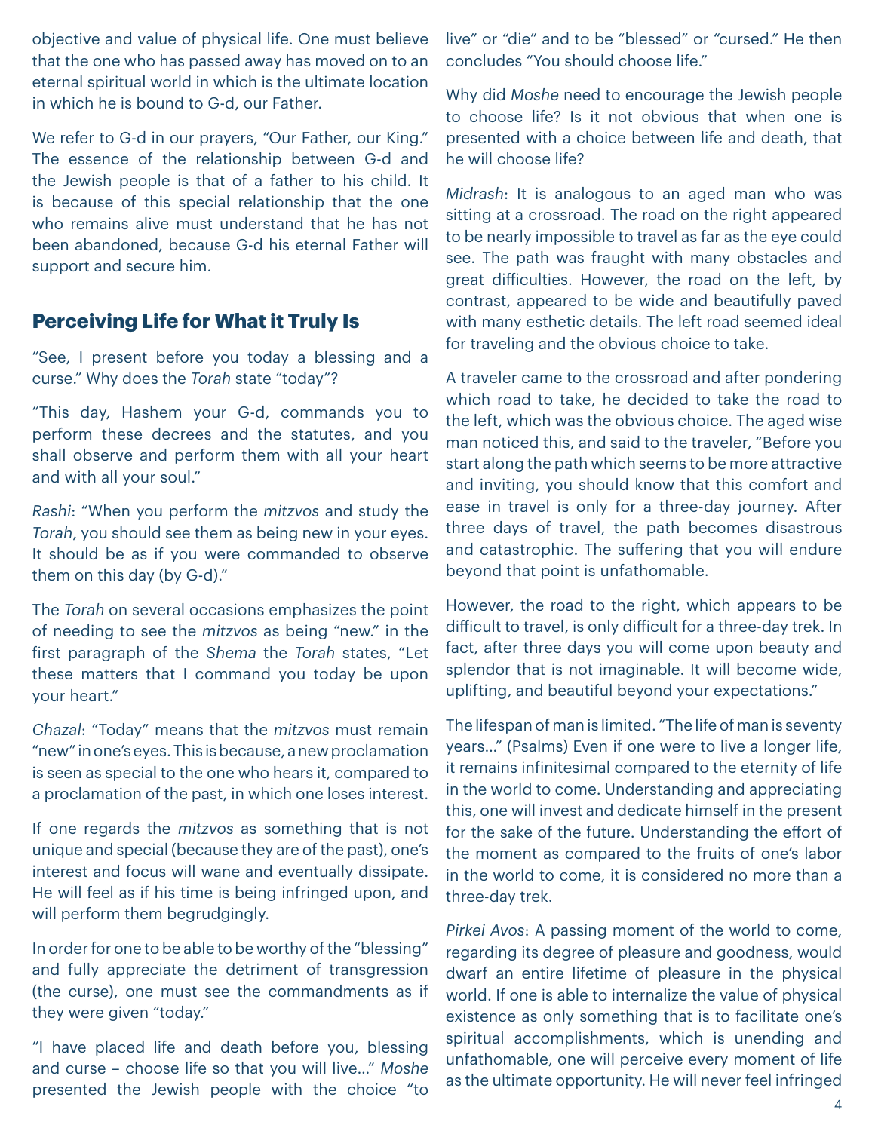objective and value of physical life. One must believe that the one who has passed away has moved on to an eternal spiritual world in which is the ultimate location in which he is bound to G-d, our Father.

We refer to G-d in our prayers, "Our Father, our King." The essence of the relationship between G-d and the Jewish people is that of a father to his child. It is because of this special relationship that the one who remains alive must understand that he has not been abandoned, because G-d his eternal Father will support and secure him.

### **Perceiving Life for What it Truly Is**

"See, I present before you today a blessing and a curse." Why does the *Torah* state "today"?

"This day, Hashem your G-d, commands you to perform these decrees and the statutes, and you shall observe and perform them with all your heart and with all your soul."

*Rashi*: "When you perform the *mitzvos* and study the *Torah*, you should see them as being new in your eyes. It should be as if you were commanded to observe them on this day (by G-d)."

The *Torah* on several occasions emphasizes the point of needing to see the *mitzvos* as being "new." in the first paragraph of the *Shema* the *Torah* states, "Let these matters that I command you today be upon your heart."

*Chazal*: "Today" means that the *mitzvos* must remain "new" in one's eyes. This is because, a new proclamation is seen as special to the one who hears it, compared to a proclamation of the past, in which one loses interest.

If one regards the *mitzvos* as something that is not unique and special (because they are of the past), one's interest and focus will wane and eventually dissipate. He will feel as if his time is being infringed upon, and will perform them begrudgingly.

In order for one to be able to be worthy of the "blessing" and fully appreciate the detriment of transgression (the curse), one must see the commandments as if they were given "today."

"I have placed life and death before you, blessing and curse – choose life so that you will live…" *Moshe* presented the Jewish people with the choice "to

live" or "die" and to be "blessed" or "cursed." He then concludes "You should choose life."

Why did *Moshe* need to encourage the Jewish people to choose life? Is it not obvious that when one is presented with a choice between life and death, that he will choose life?

*Midrash*: It is analogous to an aged man who was sitting at a crossroad. The road on the right appeared to be nearly impossible to travel as far as the eye could see. The path was fraught with many obstacles and great difficulties. However, the road on the left, by contrast, appeared to be wide and beautifully paved with many esthetic details. The left road seemed ideal for traveling and the obvious choice to take.

A traveler came to the crossroad and after pondering which road to take, he decided to take the road to the left, which was the obvious choice. The aged wise man noticed this, and said to the traveler, "Before you start along the path which seems to be more attractive and inviting, you should know that this comfort and ease in travel is only for a three-day journey. After three days of travel, the path becomes disastrous and catastrophic. The suffering that you will endure beyond that point is unfathomable.

However, the road to the right, which appears to be difficult to travel, is only difficult for a three-day trek. In fact, after three days you will come upon beauty and splendor that is not imaginable. It will become wide, uplifting, and beautiful beyond your expectations."

The lifespan of man is limited. "The life of man is seventy years…" (Psalms) Even if one were to live a longer life, it remains infinitesimal compared to the eternity of life in the world to come. Understanding and appreciating this, one will invest and dedicate himself in the present for the sake of the future. Understanding the effort of the moment as compared to the fruits of one's labor in the world to come, it is considered no more than a three-day trek.

*Pirkei Avos*: A passing moment of the world to come, regarding its degree of pleasure and goodness, would dwarf an entire lifetime of pleasure in the physical world. If one is able to internalize the value of physical existence as only something that is to facilitate one's spiritual accomplishments, which is unending and unfathomable, one will perceive every moment of life as the ultimate opportunity. He will never feel infringed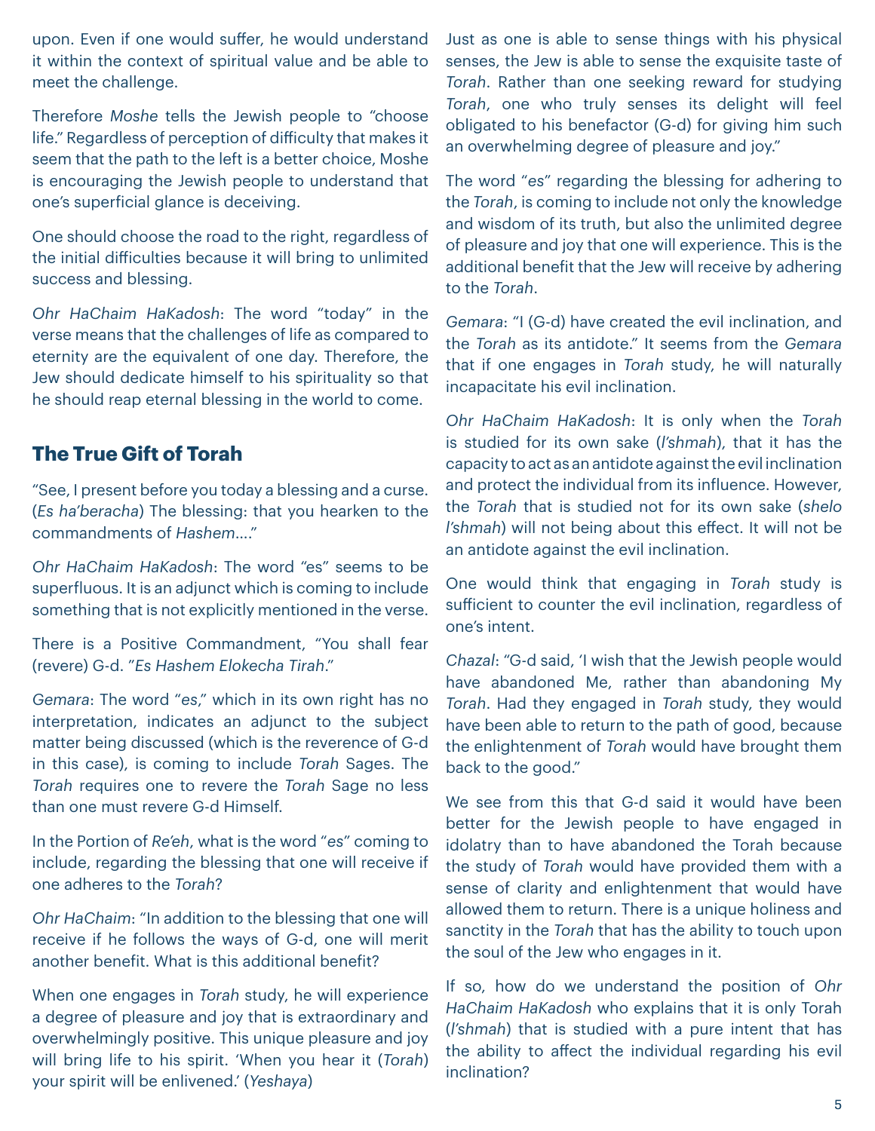upon. Even if one would suffer, he would understand it within the context of spiritual value and be able to meet the challenge.

Therefore *Moshe* tells the Jewish people to "choose life." Regardless of perception of difficulty that makes it seem that the path to the left is a better choice, Moshe is encouraging the Jewish people to understand that one's superficial glance is deceiving.

One should choose the road to the right, regardless of the initial difficulties because it will bring to unlimited success and blessing.

*Ohr HaChaim HaKadosh*: The word "today" in the verse means that the challenges of life as compared to eternity are the equivalent of one day. Therefore, the Jew should dedicate himself to his spirituality so that he should reap eternal blessing in the world to come.

# **The True Gift of Torah**

"See, I present before you today a blessing and a curse. (*Es ha'beracha*) The blessing: that you hearken to the commandments of *Hashem*…."

*Ohr HaChaim HaKadosh*: The word "es" seems to be superfluous. It is an adjunct which is coming to include something that is not explicitly mentioned in the verse.

There is a Positive Commandment, "You shall fear (revere) G-d. "*Es Hashem Elokecha Tirah*."

*Gemara*: The word "*es*," which in its own right has no interpretation, indicates an adjunct to the subject matter being discussed (which is the reverence of G-d in this case), is coming to include *Torah* Sages. The *Torah* requires one to revere the *Torah* Sage no less than one must revere G-d Himself.

In the Portion of *Re'eh*, what is the word "*es*" coming to include, regarding the blessing that one will receive if one adheres to the *Torah*?

*Ohr HaChaim*: "In addition to the blessing that one will receive if he follows the ways of G-d, one will merit another benefit. What is this additional benefit?

When one engages in *Torah* study, he will experience a degree of pleasure and joy that is extraordinary and overwhelmingly positive. This unique pleasure and joy will bring life to his spirit. 'When you hear it (*Torah*) your spirit will be enlivened.' (*Yeshaya*)

Just as one is able to sense things with his physical senses, the Jew is able to sense the exquisite taste of *Torah*. Rather than one seeking reward for studying *Torah*, one who truly senses its delight will feel obligated to his benefactor (G-d) for giving him such an overwhelming degree of pleasure and joy."

The word "*es*" regarding the blessing for adhering to the *Torah*, is coming to include not only the knowledge and wisdom of its truth, but also the unlimited degree of pleasure and joy that one will experience. This is the additional benefit that the Jew will receive by adhering to the *Torah*.

*Gemara*: "I (G-d) have created the evil inclination, and the *Torah* as its antidote." It seems from the *Gemara* that if one engages in *Torah* study, he will naturally incapacitate his evil inclination.

*Ohr HaChaim HaKadosh*: It is only when the *Torah* is studied for its own sake (*l'shmah*), that it has the capacity to act as an antidote against the evil inclination and protect the individual from its influence. However, the *Torah* that is studied not for its own sake (*shelo l'shmah*) will not being about this effect. It will not be an antidote against the evil inclination.

One would think that engaging in *Torah* study is sufficient to counter the evil inclination, regardless of one's intent.

*Chazal*: "G-d said, 'I wish that the Jewish people would have abandoned Me, rather than abandoning My *Torah*. Had they engaged in *Torah* study, they would have been able to return to the path of good, because the enlightenment of *Torah* would have brought them back to the good."

We see from this that G-d said it would have been better for the Jewish people to have engaged in idolatry than to have abandoned the Torah because the study of *Torah* would have provided them with a sense of clarity and enlightenment that would have allowed them to return. There is a unique holiness and sanctity in the *Torah* that has the ability to touch upon the soul of the Jew who engages in it.

If so, how do we understand the position of *Ohr HaChaim HaKadosh* who explains that it is only Torah (*l'shmah*) that is studied with a pure intent that has the ability to affect the individual regarding his evil inclination?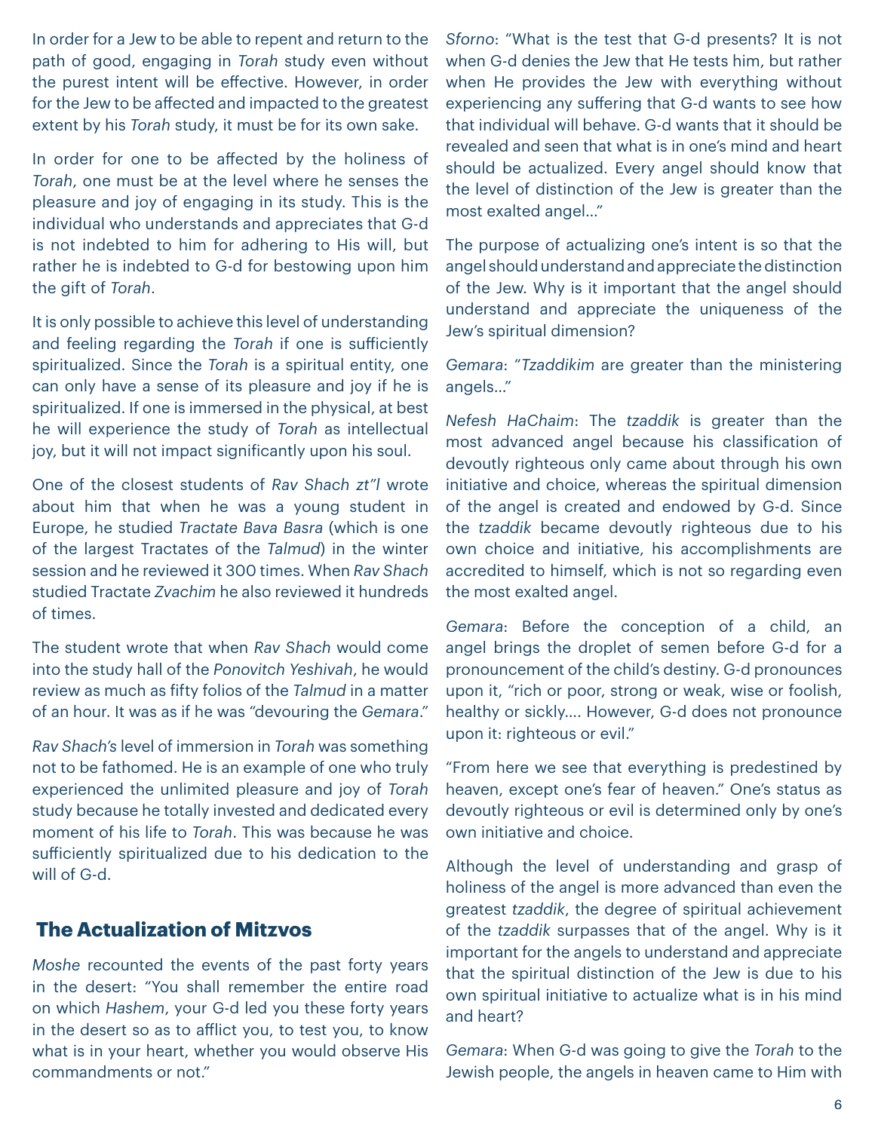In order for a Jew to be able to repent and return to the path of good, engaging in *Torah* study even without the purest intent will be effective. However, in order for the Jew to be affected and impacted to the greatest extent by his *Torah* study, it must be for its own sake.

In order for one to be affected by the holiness of *Torah*, one must be at the level where he senses the pleasure and joy of engaging in its study. This is the individual who understands and appreciates that G-d is not indebted to him for adhering to His will, but rather he is indebted to G-d for bestowing upon him the gift of *Torah*.

It is only possible to achieve this level of understanding and feeling regarding the *Torah* if one is sufficiently spiritualized. Since the *Torah* is a spiritual entity, one can only have a sense of its pleasure and joy if he is spiritualized. If one is immersed in the physical, at best he will experience the study of *Torah* as intellectual joy, but it will not impact significantly upon his soul.

One of the closest students of *Rav Shach zt"l* wrote about him that when he was a young student in Europe, he studied *Tractate Bava Basra* (which is one of the largest Tractates of the *Talmud*) in the winter session and he reviewed it 300 times. When *Rav Shach* studied Tractate *Zvachim* he also reviewed it hundreds of times.

The student wrote that when *Rav Shach* would come into the study hall of the *Ponovitch Yeshivah*, he would review as much as fifty folios of the *Talmud* in a matter of an hour. It was as if he was "devouring the *Gemara*."

*Rav Shach's* level of immersion in *Torah* was something not to be fathomed. He is an example of one who truly experienced the unlimited pleasure and joy of *Torah* study because he totally invested and dedicated every moment of his life to *Torah*. This was because he was sufficiently spiritualized due to his dedication to the will of G-d.

## **The Actualization of Mitzvos**

*Moshe* recounted the events of the past forty years in the desert: "You shall remember the entire road on which *Hashem*, your G-d led you these forty years in the desert so as to afflict you, to test you, to know what is in your heart, whether you would observe His commandments or not."

*Sforno*: "What is the test that G-d presents? It is not when G-d denies the Jew that He tests him, but rather when He provides the Jew with everything without experiencing any suffering that G-d wants to see how that individual will behave. G-d wants that it should be revealed and seen that what is in one's mind and heart should be actualized. Every angel should know that the level of distinction of the Jew is greater than the most exalted angel…"

The purpose of actualizing one's intent is so that the angel should understand and appreciate the distinction of the Jew. Why is it important that the angel should understand and appreciate the uniqueness of the Jew's spiritual dimension?

*Gemara*: "*Tzaddikim* are greater than the ministering angels…"

*Nefesh HaChaim*: The *tzaddik* is greater than the most advanced angel because his classification of devoutly righteous only came about through his own initiative and choice, whereas the spiritual dimension of the angel is created and endowed by G-d. Since the *tzaddik* became devoutly righteous due to his own choice and initiative, his accomplishments are accredited to himself, which is not so regarding even the most exalted angel.

*Gemara*: Before the conception of a child, an angel brings the droplet of semen before G-d for a pronouncement of the child's destiny. G-d pronounces upon it, "rich or poor, strong or weak, wise or foolish, healthy or sickly…. However, G-d does not pronounce upon it: righteous or evil."

"From here we see that everything is predestined by heaven, except one's fear of heaven." One's status as devoutly righteous or evil is determined only by one's own initiative and choice.

Although the level of understanding and grasp of holiness of the angel is more advanced than even the greatest *tzaddik*, the degree of spiritual achievement of the *tzaddik* surpasses that of the angel. Why is it important for the angels to understand and appreciate that the spiritual distinction of the Jew is due to his own spiritual initiative to actualize what is in his mind and heart?

*Gemara*: When G-d was going to give the *Torah* to the Jewish people, the angels in heaven came to Him with